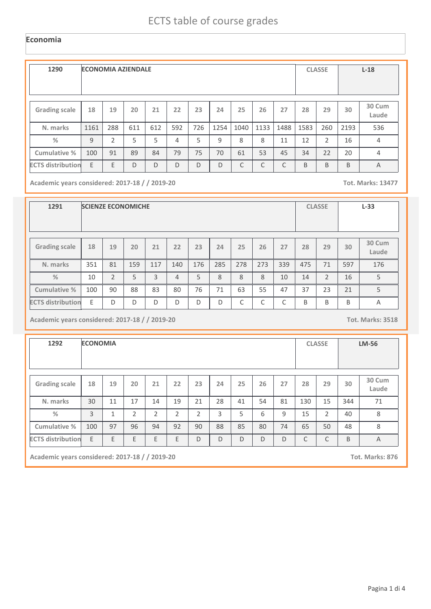## **Economia**

| 1290                     | <b>ECONOMIA AZIENDALE</b> |               |     |     |     |     |      |      |      |            |      | <b>CLASSE</b>  |      | $L-18$          |
|--------------------------|---------------------------|---------------|-----|-----|-----|-----|------|------|------|------------|------|----------------|------|-----------------|
| <b>Grading scale</b>     | 18                        | 19            | 20  | 21  | 22  | 23  | 24   | 25   | 26   | 27         | 28   | 29             | 30   | 30 Cum<br>Laude |
| N. marks                 | 1161                      | 288           | 611 | 612 | 592 | 726 | 1254 | 1040 | 1133 | 1488       | 1583 | 260            | 2193 | 536             |
| $\frac{0}{0}$            | 9                         | $\mathfrak z$ | 5   | 5   | 4   | 5   | 9    | 8    | 8    | 11         | 12   | $\overline{2}$ | 16   | $\overline{4}$  |
| Cumulative %             | 100                       | 91            | 89  | 84  | 79  | 75  | 70   | 61   | 53   | 45         | 34   | 22             | 20   | 4               |
| <b>ECTS distribution</b> | E                         | E             | D   | D   | D   | D   | D    | C    | C    | $\sqrt{2}$ | B    | B              | B    | $\overline{A}$  |

**Academic years considered: 2017-18 / / 2019-20 Tot. Marks: 13477**

| 1291                     |     |                | <b>SCIENZE ECONOMICHE</b> |     |                |     |     |            |     |            |     | <b>CLASSE</b>  |     | $L-33$          |
|--------------------------|-----|----------------|---------------------------|-----|----------------|-----|-----|------------|-----|------------|-----|----------------|-----|-----------------|
| <b>Grading scale</b>     | 18  | 19             | 20                        | 21  | 22             | 23  | 24  | 25         | 26  | 27         | 28  | 29             | 30  | 30 Cum<br>Laude |
| N. marks                 | 351 | 81             | 159                       | 117 | 140            | 176 | 285 | 278        | 273 | 339        | 475 | 71             | 597 | 176             |
| $\%$                     | 10  | $\mathfrak{D}$ | 5                         | 3   | $\overline{4}$ | 5   | 8   | 8          | 8   | 10         | 14  | $\overline{2}$ | 16  | 5               |
| Cumulative %             | 100 | 90             | 88                        | 83  | 80             | 76  | 71  | 63         | 55  | 47         | 37  | 23             | 21  | 5               |
| <b>ECTS distribution</b> | E   | D              | D                         | D   | D              | D   | D   | $\sqrt{ }$ | C   | $\sqrt{2}$ | B   | B              | B   | Α               |

**Academic years considered: 2017-18 / / 2019-20 Tot. Marks: 3518**

| 1292                     | <b>ECONOMIA</b> |                |                |                |                |                |    |    |    |    |     | <b>CLASSE</b>  | <b>LM-56</b> |                 |  |
|--------------------------|-----------------|----------------|----------------|----------------|----------------|----------------|----|----|----|----|-----|----------------|--------------|-----------------|--|
|                          |                 |                |                |                |                |                |    |    |    |    |     |                |              |                 |  |
| <b>Grading scale</b>     | 18              | 19             | 20             | 21             | 22             | 23             | 24 | 25 | 26 | 27 | 28  | 29             | 30           | 30 Cum<br>Laude |  |
| N. marks                 | 30              | 11             | 17             | 14             | 19             | 21             | 28 | 41 | 54 | 81 | 130 | 15             | 344          | 71              |  |
| %                        | 3               | $\overline{ }$ | $\overline{2}$ | $\overline{2}$ | $\overline{2}$ | $\overline{2}$ | 3  | 5  | 6  | 9  | 15  | $\overline{2}$ | 40           | 8               |  |
| Cumulative %             | 100             | 97             | 96             | 94             | 92             | 90             | 88 | 85 | 80 | 74 | 65  | 50             | 48           | 8               |  |
| <b>ECTS</b> distribution | E               | E              | E              | E              | E              | D              | D  | D  | D  | D  | C   | C              | B            | A               |  |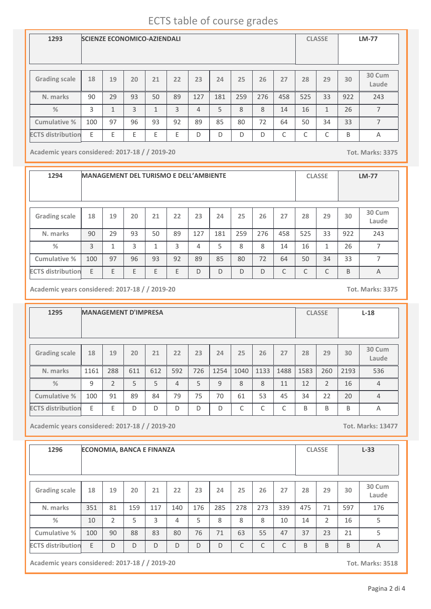## ECTS table of course grades

| 1293                     | <b>SCIENZE ECONOMICO-AZIENDALI</b> |                |    |    |    |     |     |     |     |     |        | <b>CLASSE</b> | <b>LM-77</b> |                 |
|--------------------------|------------------------------------|----------------|----|----|----|-----|-----|-----|-----|-----|--------|---------------|--------------|-----------------|
| <b>Grading scale</b>     | 18                                 | 19             | 20 | 21 | 22 | 23  | 24  | 25  | 26  | 27  | 28     | 29            | 30           | 30 Cum<br>Laude |
| N. marks                 | 90                                 | 29             | 93 | 50 | 89 | 127 | 181 | 259 | 276 | 458 | 525    | 33            | 922          | 243             |
| $\frac{9}{6}$            | 3                                  | $\overline{ }$ | 3  | 1  | 3  | 4   | 5   | 8   | 8   | 14  | 16     | $\mathbf{1}$  | 26           | 7               |
| <b>Cumulative %</b>      | 100                                | 97             | 96 | 93 | 92 | 89  | 85  | 80  | 72  | 64  | 50     | 34            | 33           | 7               |
| <b>ECTS distribution</b> | E                                  | F              | E  | E  | E  | D   | D   | D   | D   | C   | ⌒<br>U | C             | B            | Α               |

**Academic years considered: 2017-18 / / 2019-20 Tot. Marks: 3375**

| 1294                     | <b>MANAGEMENT DEL TURISMO E DELL'AMBIENTE</b> |    |    |    |    |     |     |     |     |           |     | <b>CLASSE</b> |     | $LM-77$         |
|--------------------------|-----------------------------------------------|----|----|----|----|-----|-----|-----|-----|-----------|-----|---------------|-----|-----------------|
| <b>Grading scale</b>     | 18                                            | 19 | 20 | 21 | 22 | 23  | 24  | 25  | 26  | 27        | 28  | 29            | 30  | 30 Cum<br>Laude |
| N. marks                 | 90                                            | 29 | 93 | 50 | 89 | 127 | 181 | 259 | 276 | 458       | 525 | 33            | 922 | 243             |
| $\frac{0}{2}$            | 3                                             | 1  | 3  | 1  | 3  | 4   | 5   | 8   | 8   | 14        | 16  | 1             | 26  | 7               |
| Cumulative %             | 100                                           | 97 | 96 | 93 | 92 | 89  | 85  | 80  | 72  | 64        | 50  | 34            | 33  | 7               |
| <b>ECTS distribution</b> | E                                             | F  | F  | E  | E  | D   | D   | D   | D   | $\subset$ | C   | C             | B   | A               |

**Academic years considered: 2017-18 / / 2019-20 Tot. Marks: 3375**

**1295 MANAGEMENT D'IMPRESA CLASSE L-18 Grading scale 18 N. marks Cumulative % %** 1161 **19** 288 **20** 611 **<sup>21</sup> <sup>22</sup> <sup>23</sup> <sup>24</sup> <sup>25</sup> <sup>26</sup> <sup>27</sup> <sup>28</sup> <sup>29</sup> 30 Cum Laude** 612 | 592 | 726 | 1254 | 1040 | 1133 | 1488 | 1583 | 260 | 2193 | 536 **30** 2193 9 2 3 5 4 5 9 8 8 11 12 2 16 4 100 | 91 | 89 | 84 | 79 | 75 | 70 | 61 | 53 | 45 | 34 | 22 | 20 | 4 ECTS distribution E E D D D D D D D C C C B B B A

**Academic years considered: 2017-18 / / 2019-20 Tot. Marks: 13477**

| 1296                     | <b>ECONOMIA, BANCA E FINANZA</b> |                |     |     |     |     |     |     |     |     |     | <b>CLASSE</b>  |     | $L-33$          |
|--------------------------|----------------------------------|----------------|-----|-----|-----|-----|-----|-----|-----|-----|-----|----------------|-----|-----------------|
| <b>Grading scale</b>     | 18                               | 19             | 20  | 21  | 22  | 23  | 24  | 25  | 26  | 27  | 28  | 29             | 30  | 30 Cum<br>Laude |
| N. marks                 | 351                              | 81             | 159 | 117 | 140 | 176 | 285 | 278 | 273 | 339 | 475 | 71             | 597 | 176             |
| %                        | 10                               | $\overline{2}$ | 5   | 3   | 4   | 5   | 8   | 8   | 8   | 10  | 14  | $\overline{2}$ | 16  | 5               |
| Cumulative %             | 100                              | 90             | 88  | 83  | 80  | 76  | 71  | 63  | 55  | 47  | 37  | 23             | 21  | 5               |
| <b>ECTS distribution</b> | E                                | D              | D   | D   | D   | D   | D   | C   | C   | C   | B   | B              | B   | $\overline{A}$  |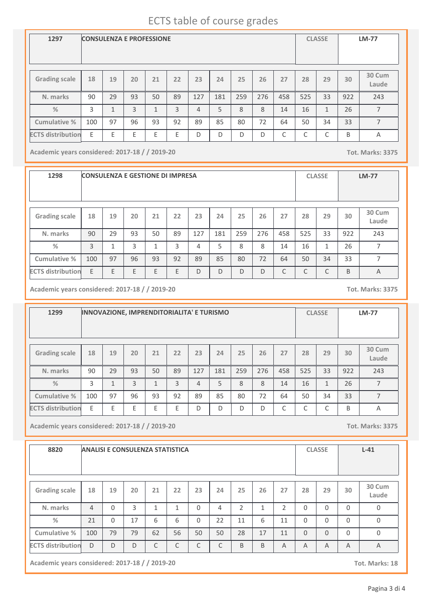## ECTS table of course grades

| 1297                     | <b>CONSULENZA E PROFESSIONE</b> |    |    |              |    |     |     |     |     |     |     | <b>CLASSE</b> |     | <b>LM-77</b>    |
|--------------------------|---------------------------------|----|----|--------------|----|-----|-----|-----|-----|-----|-----|---------------|-----|-----------------|
| <b>Grading scale</b>     | 18                              | 19 | 20 | 21           | 22 | 23  | 24  | 25  | 26  | 27  | 28  | 29            | 30  | 30 Cum<br>Laude |
| N. marks                 | 90                              | 29 | 93 | 50           | 89 | 127 | 181 | 259 | 276 | 458 | 525 | 33            | 922 | 243             |
| $\frac{0}{2}$            | 3                               | 1  | 3  | $\mathbf{1}$ | 3  | 4   | 5   | 8   | 8   | 14  | 16  | 1             | 26  | 7               |
| Cumulative %             | 100                             | 97 | 96 | 93           | 92 | 89  | 85  | 80  | 72  | 64  | 50  | 34            | 33  | 7               |
| <b>ECTS distribution</b> | E                               | E  | E  | E            | E  | D   | D   | D   | D   | С   | C   | C             | B   | A               |

**Academic years considered: 2017-18 / / 2019-20 Tot. Marks: 3375**

**1298 CONSULENZA E GESTIONE DI IMPRESA CLASSE LM-77 Grading scale 18 N. marks Cumulative % %** 90 **19** 29 **20** 93 **<sup>21</sup> <sup>22</sup> <sup>23</sup> <sup>24</sup> <sup>25</sup> <sup>26</sup> <sup>27</sup> <sup>28</sup> <sup>29</sup> 30 Cum Laude** 50 89 127 181 259 276 458 525 33 243 **30** 922 3 | 1 | 3 | 1 | 3 | 4 | 5 | 8 | 8 | 14 | 16 | 1 | 26 | 7 100 | 97 | 96 | 93 | 92 | 89 | 85 | 80 | 72 | 64 | 50 | 34 | 33 | 7 **ECTS distribution** E E E E E D D D D C C C B A

**Academic years considered: 2017-18 / / 2019-20 Tot. Marks: 3375**

**1299 INNOVAZIONE, IMPRENDITORIALITA' E TURISMO CLASSE LM-77 Grading scale 18 N. marks Cumulative % %** 90 **19** 29 **20** 93 **<sup>21</sup> <sup>22</sup> <sup>23</sup> <sup>24</sup> <sup>25</sup> <sup>26</sup> <sup>27</sup> <sup>28</sup> <sup>29</sup> 30 Cum Laude** 50 89 127 181 259 276 458 525 33 243 **30** 922 3 | 1 | 3 | 1 | 3 | 4 | 5 | 8 | 8 | 14 | 16 | 1 | 26 | 7 100 | 97 | 96 | 93 | 92 | 89 | 85 | 80 | 72 | 64 | 50 | 34 | 33 | 7 **ECTS distribution** E E E E E D D D D C C C B A

**Academic years considered: 2017-18 / / 2019-20 Tot. Marks: 3375**

| 8820                     | <b>ANALISI E CONSULENZA STATISTICA</b> |          |    |              |              |          |    |               |              |                |          | <b>CLASSE</b> |                | $L-41$          |
|--------------------------|----------------------------------------|----------|----|--------------|--------------|----------|----|---------------|--------------|----------------|----------|---------------|----------------|-----------------|
| <b>Grading scale</b>     | 18                                     | 19       | 20 | 21           | 22           | 23       | 24 | 25            | 26           | 27             | 28       | 29            | 30             | 30 Cum<br>Laude |
| N. marks                 | $\overline{4}$                         | $\Omega$ | 3  | $\mathbf{1}$ | $\mathbf{1}$ | $\Omega$ | 4  | $\mathcal{P}$ | $\mathbf{1}$ | $\overline{2}$ | $\Omega$ | $\Omega$      | $\Omega$       | $\mathbf 0$     |
| %                        | 21                                     | $\Omega$ | 17 | 6            | 6            | $\Omega$ | 22 | 11            | 6            | 11             | $\Omega$ | $\Omega$      | $\Omega$       | 0               |
| Cumulative %             | 100                                    | 79       | 79 | 62           | 56           | 50       | 50 | 28            | 17           | 11             | $\Omega$ | $\Omega$      | $\Omega$       | $\Omega$        |
| <b>ECTS distribution</b> | D                                      | D        | D  | C            | C            | C        | C  | B             | B            | $\overline{A}$ | A        | A             | $\overline{A}$ | $\overline{A}$  |